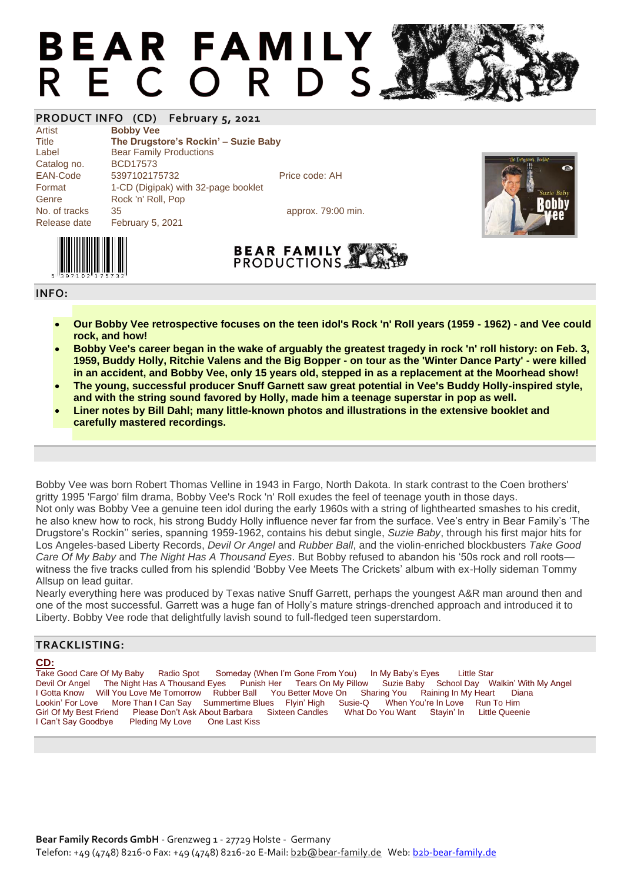# **BEAR FAMILY** R E C O R D S

## **PRODUCT INFO (CD) February 5, 2021**

Artist **Bobby Vee**

Title **The Drugstore's Rockin' – Suzie Baby** Label Bear Family Productions Catalog no. BCD17573 EAN-Code 5397102175732 Price code: AH Format 1-CD (Digipak) with 32-page booklet Genre Rock 'n' Roll, Pop No. of tracks 35 approx. 79:00 min. Release date February 5, 2021







**INFO:**

- **Our Bobby Vee retrospective focuses on the teen idol's Rock 'n' Roll years (1959 - 1962) - and Vee could rock, and how!**
- **Bobby Vee's career began in the wake of arguably the greatest tragedy in rock 'n' roll history: on Feb. 3, 1959, Buddy Holly, Ritchie Valens and the Big Bopper - on tour as the 'Winter Dance Party' - were killed in an accident, and Bobby Vee, only 15 years old, stepped in as a replacement at the Moorhead show!**
- **The young, successful producer Snuff Garnett saw great potential in Vee's Buddy Holly-inspired style, and with the string sound favored by Holly, made him a teenage superstar in pop as well.**
- **Liner notes by Bill Dahl; many little-known photos and illustrations in the extensive booklet and carefully mastered recordings.**

Bobby Vee was born Robert Thomas Velline in 1943 in Fargo, North Dakota. In stark contrast to the Coen brothers' gritty 1995 'Fargo' film drama, Bobby Vee's Rock 'n' Roll exudes the feel of teenage youth in those days. Not only was Bobby Vee a genuine teen idol during the early 1960s with a string of lighthearted smashes to his credit, he also knew how to rock, his strong Buddy Holly influence never far from the surface. Vee's entry in Bear Family's 'The Drugstore's Rockin'' series, spanning 1959-1962, contains his debut single, *Suzie Baby*, through his first major hits for Los Angeles-based Liberty Records, *Devil Or Angel* and *Rubber Ball*, and the violin-enriched blockbusters *Take Good Care Of My Baby* and *The Night Has A Thousand Eyes*. But Bobby refused to abandon his '50s rock and roll roots witness the five tracks culled from his splendid 'Bobby Vee Meets The Crickets' album with ex-Holly sideman Tommy Allsup on lead guitar.

Nearly everything here was produced by Texas native Snuff Garrett, perhaps the youngest A&R man around then and one of the most successful. Garrett was a huge fan of Holly's mature strings-drenched approach and introduced it to Liberty. Bobby Vee rode that delightfully lavish sound to full-fledged teen superstardom.

### **TRACKLISTING:**

**CD:**<br>Take Good Care Of My Baby Radio Spot Someday (When I'm Gone From You) In My Baby's Eyes Little Star<br>Solar Thousand Eyes Punish Her Tears On My Pillow Suzie Baby School Dav W Devil Or Angel The Night Has A Thousand Eyes Punish Her Tears On My Pillow Suzie Baby School Day Walkin' With My Angel I Gotta Know Will You Love Me Tomorrow Rubber Ball You Better Move On Sharing You Raining In My Heart Diana<br>Lookin' For Love More Than I Can Say Summertime Blues Flyin' High Susie-Q When You're In Love Run To Him Summertime Blues Flyin' High Susie-Q Girl Of My Best Friend Please Don't Ask About Barbara Sixteen Candles What Do You Want Stayin' In Little Queenie I Can't Say Goodbye Pleding My Love One Last Kiss